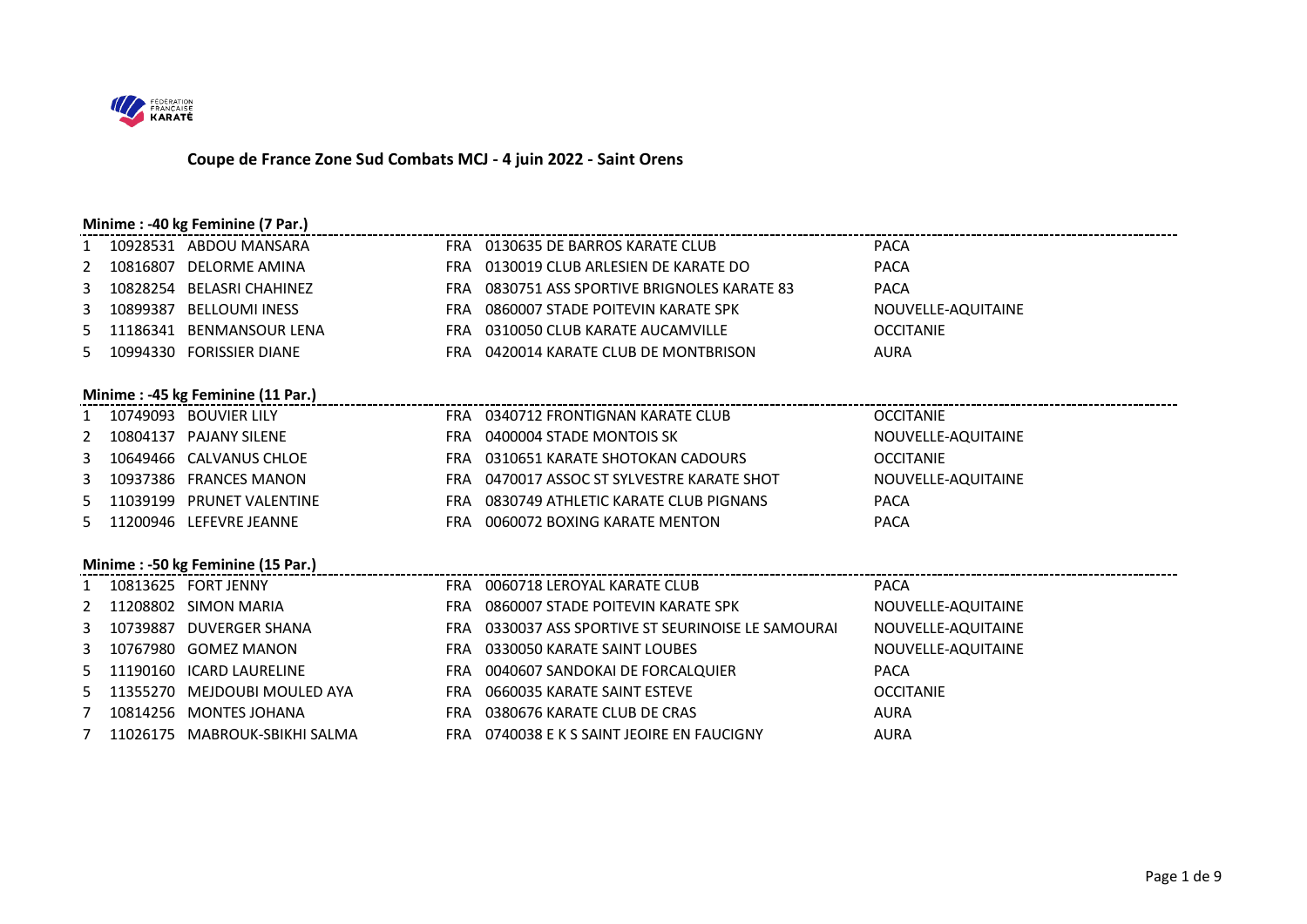

# **Coupe de France Zone Sud Combats MCJ - 4 juin 2022 - Saint Orens**

#### **Minime : -40 kg Feminine (7 Par.)**

|    | 10928531 ABDOU MANSARA            | FRA 0130635 DE BARROS KARATE CLUB                  | <b>PACA</b>        |
|----|-----------------------------------|----------------------------------------------------|--------------------|
| 2  | 10816807 DELORME AMINA            | FRA 0130019 CLUB ARLESIEN DE KARATE DO             | <b>PACA</b>        |
| 3  | 10828254 BELASRI CHAHINEZ         | FRA 0830751 ASS SPORTIVE BRIGNOLES KARATE 83       | <b>PACA</b>        |
| 3  | 10899387 BELLOUMI INESS           | FRA 0860007 STADE POITEVIN KARATE SPK              | NOUVELLE-AQUITAINE |
| 5. | 11186341 BENMANSOUR LENA          | FRA 0310050 CLUB KARATE AUCAMVILLE                 | <b>OCCITANIE</b>   |
| 5. | 10994330 FORISSIER DIANE          | FRA 0420014 KARATE CLUB DE MONTBRISON              | <b>AURA</b>        |
|    |                                   |                                                    |                    |
|    | Minime: -45 kg Feminine (11 Par.) |                                                    |                    |
|    | 1 10749093 BOUVIER LILY           | FRA 0340712 FRONTIGNAN KARATE CLUB                 | <b>OCCITANIE</b>   |
|    | 10804137 PAJANY SILENE            | FRA 0400004 STADE MONTOIS SK                       | NOUVELLE-AQUITAINE |
| 3  | 10649466 CALVANUS CHLOE           | FRA 0310651 KARATE SHOTOKAN CADOURS                | <b>OCCITANIE</b>   |
| 3  | 10937386 FRANCES MANON            | FRA 0470017 ASSOC ST SYLVESTRE KARATE SHOT         | NOUVELLE-AQUITAINE |
| 5. | 11039199 PRUNET VALENTINE         | FRA 0830749 ATHLETIC KARATE CLUB PIGNANS           | <b>PACA</b>        |
| 5. | 11200946 LEFEVRE JEANNE           | FRA 0060072 BOXING KARATE MENTON                   | <b>PACA</b>        |
|    |                                   |                                                    |                    |
|    | Minime: -50 kg Feminine (15 Par.) |                                                    |                    |
|    |                                   | FRA 0060718 LEROYAL KARATE CLUB                    | <b>PACA</b>        |
|    | 11208802 SIMON MARIA              | FRA 0860007 STADE POITEVIN KARATE SPK              | NOUVELLE-AQUITAINE |
| 3  | 10739887 DUVERGER SHANA           | FRA 0330037 ASS SPORTIVE ST SEURINOISE LE SAMOURAI | NOUVELLE-AQUITAINE |
| 3  | 10767980 GOMEZ MANON              | FRA 0330050 KARATE SAINT LOUBES                    | NOUVELLE-AQUITAINE |
| 5  | 11190160 ICARD LAURELINE          | FRA 0040607 SANDOKAI DE FORCALQUIER                | <b>PACA</b>        |
| 5. | 11355270 MEJDOUBI MOULED AYA      | FRA 0660035 KARATE SAINT ESTEVE                    | <b>OCCITANIE</b>   |
|    | 10814256 MONTES JOHANA            | FRA 0380676 KARATE CLUB DE CRAS                    | <b>AURA</b>        |
|    | 7 11026175 MABROUK-SBIKHI SALMA   | FRA 0740038 E K S SAINT JEOIRE EN FAUCIGNY         | <b>AURA</b>        |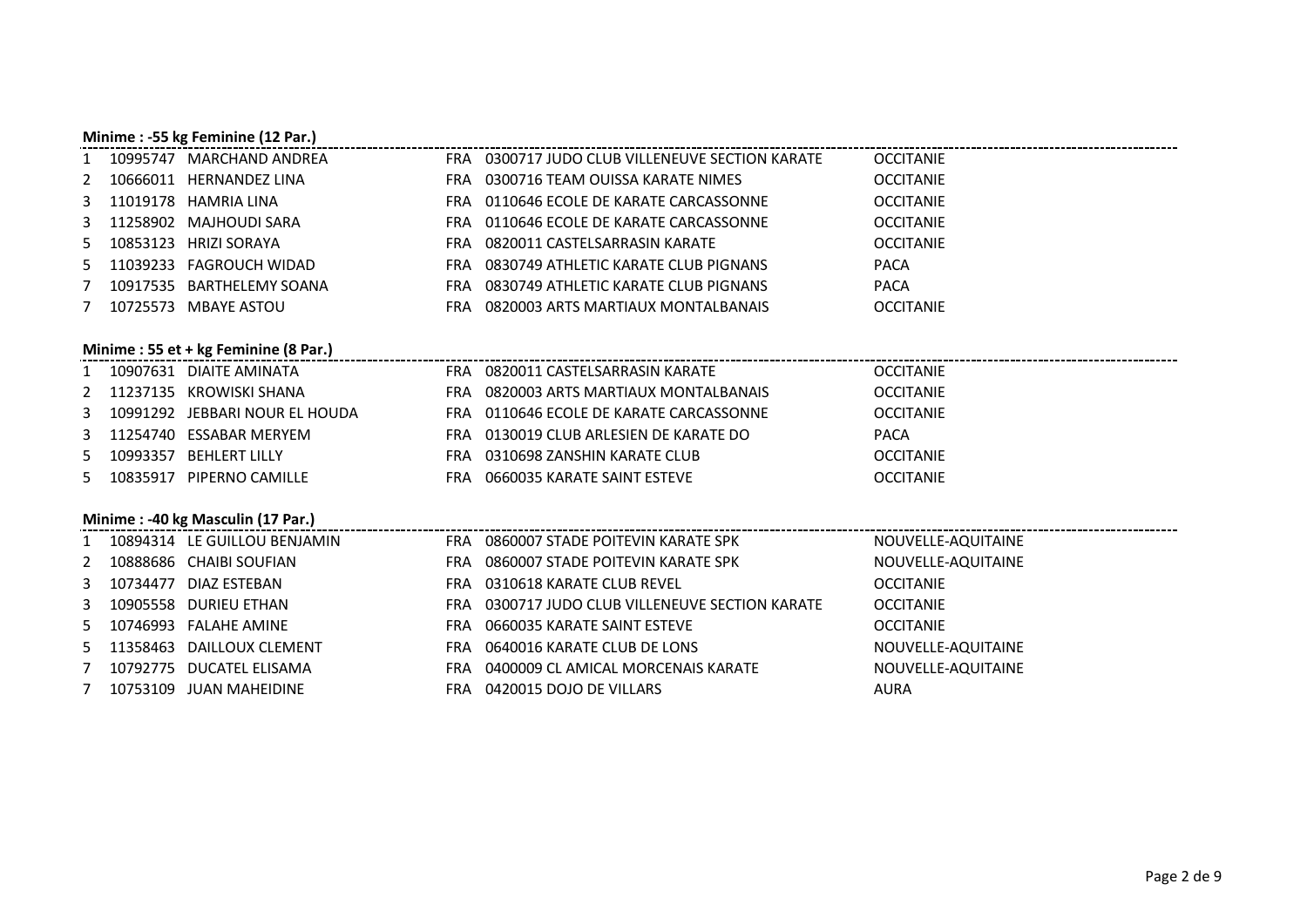# **Minime : -55 kg Feminine (12 Par.)**

|   | 10995747 MARCHAND ANDREA                                | FRA    0300717 JUDO CLUB VILLENEUVE SECTION KARATE                     | <b>OCCITANIE</b>   |
|---|---------------------------------------------------------|------------------------------------------------------------------------|--------------------|
| 2 | 10666011 HERNANDEZ LINA                                 | FRA 0300716 TEAM OUISSA KARATE NIMES                                   | <b>OCCITANIE</b>   |
| 3 | 11019178 HAMRIA LINA                                    |                                                                        | <b>OCCITANIE</b>   |
| 3 | 11258902 MAJHOUDI SARA                                  |                                                                        | <b>OCCITANIE</b>   |
| 5 | 10853123 HRIZI SORAYA                                   | FRA 0820011 CASTELSARRASIN KARATE                                      | <b>OCCITANIE</b>   |
| 5 | 11039233 FAGROUCH WIDAD                                 | FRA 0830749 ATHLETIC KARATE CLUB PIGNANS                               | <b>PACA</b>        |
| 7 | 10917535 BARTHELEMY SOANA                               | FRA 0830749 ATHLETIC KARATE CLUB PIGNANS                               | <b>PACA</b>        |
|   | 7 10725573 MBAYE ASTOU                                  | FRA 0820003 ARTS MARTIAUX MONTALBANAIS                                 | <b>OCCITANIE</b>   |
|   |                                                         |                                                                        |                    |
|   |                                                         |                                                                        |                    |
|   | 1 10907631 DIAITE AMINATA 6820011 CASTELSARRASIN KARATE |                                                                        | <b>OCCITANIE</b>   |
|   |                                                         | 2 11237135 KROWISKI SHANA 6820003 ARTS MARTIAUX MONTALBANAIS           | <b>OCCITANIE</b>   |
| 3 | 10991292 JEBBARI NOUR EL HOUDA                          | FRA 0110646 ECOLE DE KARATE CARCASSONNE                                | <b>OCCITANIE</b>   |
| 3 | 11254740 ESSABAR MERYEM                                 | FRA 0130019 CLUB ARLESIEN DE KARATE DO                                 | PACA               |
| 5 | 10993357 BEHLERT LILLY                                  | FRA 0310698 ZANSHIN KARATE CLUB                                        | <b>OCCITANIE</b>   |
| 5 | 10835917 PIPERNO CAMILLE                                | FRA 0660035 KARATE SAINT ESTEVE                                        | <b>OCCITANIE</b>   |
|   |                                                         |                                                                        |                    |
|   |                                                         |                                                                        |                    |
|   |                                                         | 1  10894314 LE GUILLOU BENJAMIN FRA  0860007 STADE POITEVIN KARATE SPK | NOUVELLE-AQUITAINE |
| 2 | 10888686 CHAIBI SOUFIAN                                 | FRA    0860007 STADE POITEVIN KARATE SPK                               | NOUVELLE-AQUITAINE |
| 3 | 10734477 DIAZ ESTEBAN                                   | FRA 0310618 KARATE CLUB REVEL                                          | <b>OCCITANIE</b>   |
| 3 | 10905558 DURIEU ETHAN                                   | FRA 0300717 JUDO CLUB VILLENEUVE SECTION KARATE                        | <b>OCCITANIE</b>   |
| 5 | 10746993 FALAHE AMINE                                   | FRA 0660035 KARATE SAINT ESTEVE                                        | <b>OCCITANIE</b>   |
| 5 | 11358463 DAILLOUX CLEMENT                               | FRA 0640016 KARATE CLUB DE LONS                                        | NOUVELLE-AQUITAINE |
| 7 | 10792775 DUCATEL ELISAMA                                | FRA 0400009 CL AMICAL MORCENAIS KARATE                                 | NOUVELLE-AQUITAINE |
|   | 7 10753109 JUAN MAHEIDINE                               | FRA 0420015 DOJO DE VILLARS                                            | <b>AURA</b>        |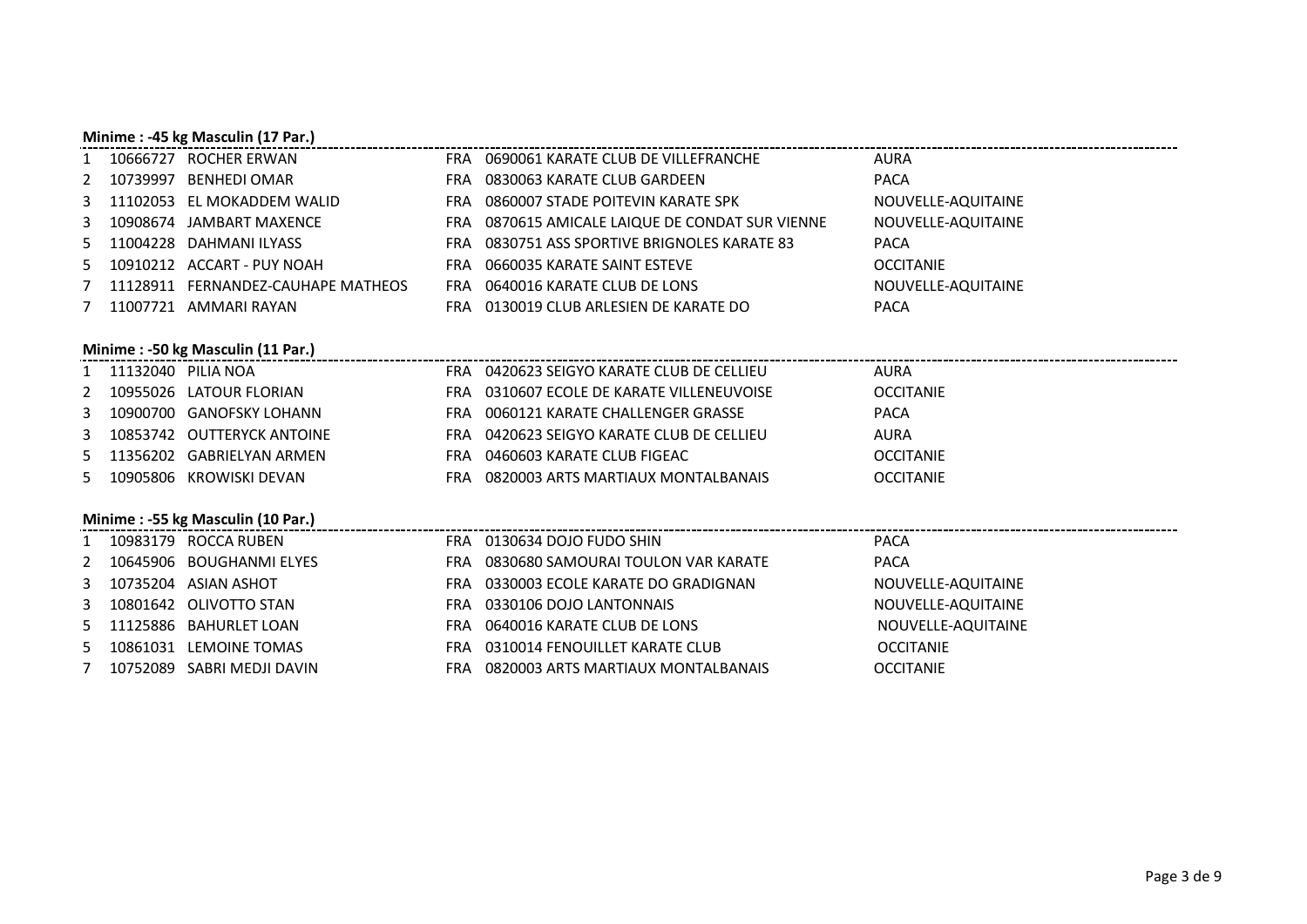## **Minime : -45 kg Masculin (17 Par.)**

|             | 10666727 ROCHER ERWAN                                                  |     | FRA 0690061 KARATE CLUB DE VILLEFRANCHE         | <b>AURA</b>        |
|-------------|------------------------------------------------------------------------|-----|-------------------------------------------------|--------------------|
| 2           | 10739997 BENHEDI OMAR                                                  |     | FRA 0830063 KARATE CLUB GARDEEN                 | <b>PACA</b>        |
| 3           | 11102053 EL MOKADDEM WALID                                             |     | FRA  0860007 STADE POITEVIN KARATE SPK          | NOUVELLE-AQUITAINE |
| 3           | 10908674 JAMBART MAXENCE                                               |     | FRA 0870615 AMICALE LAIQUE DE CONDAT SUR VIENNE | NOUVELLE-AQUITAINE |
| 5.          | 11004228 DAHMANI ILYASS                                                | FRA | 0830751 ASS SPORTIVE BRIGNOLES KARATE 83        | <b>PACA</b>        |
| 5.          | 10910212 ACCART - PUY NOAH                                             |     | FRA 0660035 KARATE SAINT ESTEVE                 | <b>OCCITANIE</b>   |
| 7           | 11128911 FERNANDEZ-CAUHAPE MATHEOS                                     |     | FRA 0640016 KARATE CLUB DE LONS                 | NOUVELLE-AQUITAINE |
| $7^{\circ}$ | 11007721 AMMARI RAYAN                                                  |     | FRA 0130019 CLUB ARLESIEN DE KARATE DO          | <b>PACA</b>        |
|             |                                                                        |     |                                                 |                    |
|             | Minime: -50 kg Masculin (11 Par.)                                      |     |                                                 |                    |
|             | 1 11132040 PILIA NOA                                                   |     | FRA 0420623 SEIGYO KARATE CLUB DE CELLIEU       | AURA               |
| 2           | 10955026 LATOUR FLORIAN                                                |     | FRA 0310607 ECOLE DE KARATE VILLENEUVOISE       | <b>OCCITANIE</b>   |
| 3           | 10900700 GANOFSKY LOHANN                                               |     | FRA 0060121 KARATE CHALLENGER GRASSE            | <b>PACA</b>        |
| 3           | 10853742 OUTTERYCK ANTOINE                                             |     | FRA 0420623 SEIGYO KARATE CLUB DE CELLIEU       | AURA               |
| 5.          | 11356202 GABRIELYAN ARMEN                                              |     | FRA 0460603 KARATE CLUB FIGEAC                  | <b>OCCITANIE</b>   |
| 5.          | 10905806 KROWISKI DEVAN                                                |     | FRA 0820003 ARTS MARTIAUX MONTALBANAIS          | <b>OCCITANIE</b>   |
|             |                                                                        |     |                                                 |                    |
|             | Minime: -55 kg Masculin (10 Par.)<br>minime: -55 kg Masculin (10 Par.) |     |                                                 |                    |
|             | 1 10983179 ROCCA RUBEN                                                 |     | FRA 0130634 DOJO FUDO SHIN                      | <b>PACA</b>        |
| 2           | 10645906 BOUGHANMI ELYES                                               |     | FRA 0830680 SAMOURAI TOULON VAR KARATE          | <b>PACA</b>        |
| 3           | 10735204 ASIAN ASHOT                                                   |     | FRA    0330003 ECOLE KARATE DO GRADIGNAN        | NOUVELLE-AQUITAINE |
| 3           | 10801642 OLIVOTTO STAN                                                 |     | FRA 0330106 DOJO LANTONNAIS                     | NOUVELLE-AQUITAINE |
| 5.          | 11125886 BAHURLET LOAN                                                 |     | FRA 0640016 KARATE CLUB DE LONS                 | NOUVELLE-AQUITAINE |
| 5.          | 10861031 LEMOINE TOMAS                                                 |     | FRA 0310014 FENOUILLET KARATE CLUB              | <b>OCCITANIE</b>   |
| 7           | 10752089 SABRI MEDJI DAVIN                                             |     | FRA 0820003 ARTS MARTIAUX MONTALBANAIS          | <b>OCCITANIE</b>   |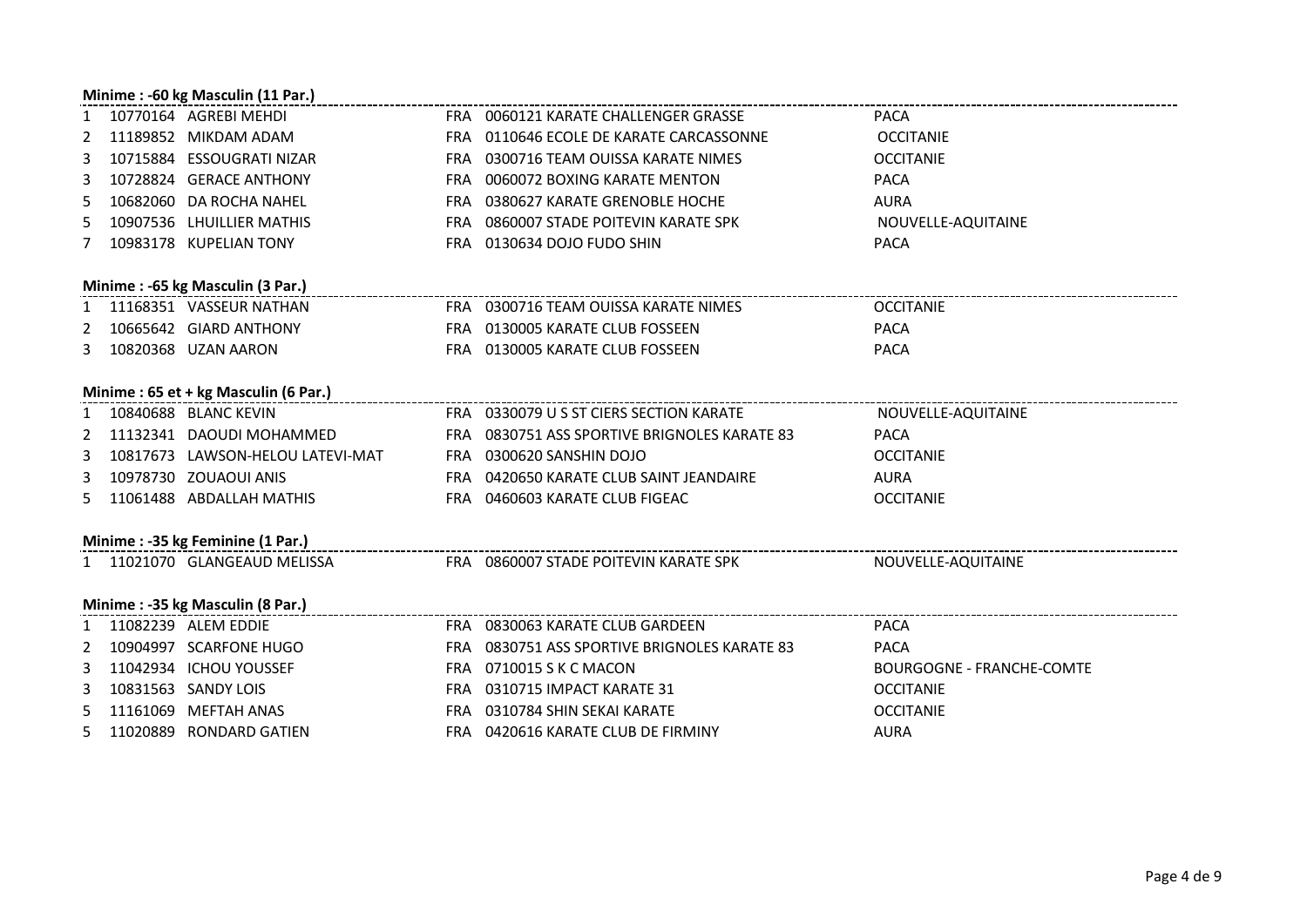## **Minime : -60 kg Masculin (11 Par.)**

|    | 10770164 AGREBI MEHDI                                     | FRA 0060121 KARATE CHALLENGER GRASSE         | <b>PACA</b>                      |
|----|-----------------------------------------------------------|----------------------------------------------|----------------------------------|
| 2  | 11189852 MIKDAM ADAM                                      | FRA 0110646 ECOLE DE KARATE CARCASSONNE      | <b>OCCITANIE</b>                 |
| 3  | 10715884 ESSOUGRATI NIZAR                                 | FRA 0300716 TEAM OUISSA KARATE NIMES         | <b>OCCITANIE</b>                 |
| 3  | 10728824 GERACE ANTHONY                                   | FRA 0060072 BOXING KARATE MENTON             | <b>PACA</b>                      |
| 5. | 10682060 DA ROCHA NAHEL                                   | FRA 0380627 KARATE GRENOBLE HOCHE            | <b>AURA</b>                      |
| 5. | 10907536 LHUILLIER MATHIS                                 | FRA 0860007 STADE POITEVIN KARATE SPK        | NOUVELLE-AQUITAINE               |
| 7  | 10983178 KUPELIAN TONY                                    | FRA 0130634 DOJO FUDO SHIN                   | <b>PACA</b>                      |
|    |                                                           |                                              |                                  |
|    | Minime: -65 kg Masculin (3 Par.)                          |                                              |                                  |
|    | 1 11168351 VASSEUR NATHAN                                 | FRA 0300716 TEAM OUISSA KARATE NIMES         | <b>OCCITANIE</b>                 |
| 2  | 10665642 GIARD ANTHONY                                    | FRA 0130005 KARATE CLUB FOSSEEN              | <b>PACA</b>                      |
|    | 3 10820368 UZAN AARON                                     | FRA 0130005 KARATE CLUB FOSSEEN              | <b>PACA</b>                      |
|    |                                                           |                                              |                                  |
|    | Minime: 65 et + kg Masculin (6 Par.)                      |                                              |                                  |
|    | 1 10840688 BLANC KEVIN                                    | FRA 0330079 U S ST CIERS SECTION KARATE      | NOUVELLE-AQUITAINE               |
| 2  | 11132341 DAOUDI MOHAMMED                                  | FRA 0830751 ASS SPORTIVE BRIGNOLES KARATE 83 | <b>PACA</b>                      |
| 3  | 10817673 LAWSON-HELOU LATEVI-MAT FRA 0300620 SANSHIN DOJO |                                              | <b>OCCITANIE</b>                 |
| 3  | 10978730 ZOUAOUI ANIS                                     | FRA 0420650 KARATE CLUB SAINT JEANDAIRE      | <b>AURA</b>                      |
|    | 5 11061488 ABDALLAH MATHIS                                | FRA 0460603 KARATE CLUB FIGEAC               | <b>OCCITANIE</b>                 |
|    |                                                           |                                              |                                  |
|    | Minime: -35 kg Feminine (1 Par.)                          |                                              |                                  |
|    | 1 11021070 GLANGEAUD MELISSA                              | FRA 0860007 STADE POITEVIN KARATE SPK        | NOUVELLE-AQUITAINE               |
|    |                                                           |                                              |                                  |
|    |                                                           |                                              |                                  |
|    | 1 11082239 ALEM EDDIE                                     | FRA 0830063 KARATE CLUB GARDEEN              | <b>PACA</b>                      |
| 2  | 10904997 SCARFONE HUGO                                    | FRA 0830751 ASS SPORTIVE BRIGNOLES KARATE 83 | <b>PACA</b>                      |
| 3  | 11042934 ICHOU YOUSSEF                                    | FRA 0710015 S K C MACON                      | <b>BOURGOGNE - FRANCHE-COMTE</b> |
| 3  | 10831563 SANDY LOIS                                       | FRA 0310715 IMPACT KARATE 31                 | <b>OCCITANIE</b>                 |
| 5. | 11161069 MEFTAH ANAS                                      | FRA 0310784 SHIN SEKAI KARATE                | <b>OCCITANIE</b>                 |
|    | 5 11020889 RONDARD GATIEN                                 | FRA 0420616 KARATE CLUB DE FIRMINY           | <b>AURA</b>                      |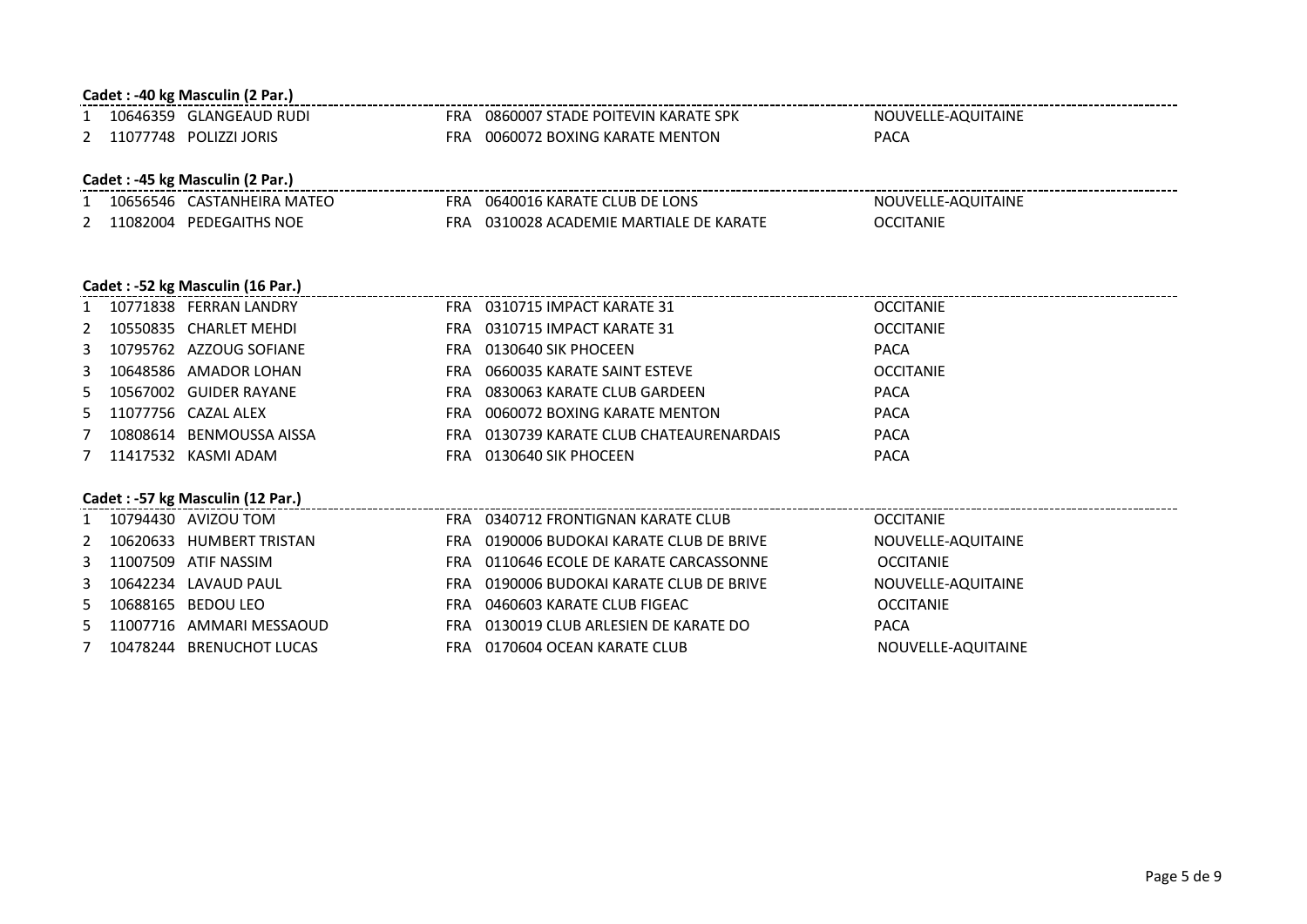|               | Cadet: -40 kg Masculin (2 Par.) |                                   |            |                                          |                    |  |  |  |
|---------------|---------------------------------|-----------------------------------|------------|------------------------------------------|--------------------|--|--|--|
|               |                                 | 1 10646359 GLANGEAUD RUDI         |            | FRA 0860007 STADE POITEVIN KARATE SPK    | NOUVELLE-AQUITAINE |  |  |  |
|               |                                 | 2 11077748 POLIZZI JORIS          |            | FRA 0060072 BOXING KARATE MENTON         | <b>PACA</b>        |  |  |  |
|               |                                 |                                   |            |                                          |                    |  |  |  |
|               |                                 | Cadet : -45 kg Masculin (2 Par.)  |            |                                          |                    |  |  |  |
|               |                                 | 1 10656546 CASTANHEIRA MATEO      |            | FRA 0640016 KARATE CLUB DE LONS          | NOUVELLE-AQUITAINE |  |  |  |
| $\mathcal{P}$ |                                 | 11082004 PEDEGAITHS NOE           |            | FRA 0310028 ACADEMIE MARTIALE DE KARATE  | <b>OCCITANIE</b>   |  |  |  |
|               |                                 |                                   |            |                                          |                    |  |  |  |
|               |                                 |                                   |            |                                          |                    |  |  |  |
|               |                                 | Cadet : -52 kg Masculin (16 Par.) |            |                                          |                    |  |  |  |
|               |                                 | 1 10771838 FERRAN LANDRY          |            | FRA 0310715 IMPACT KARATE 31             | <b>OCCITANIE</b>   |  |  |  |
| 2             |                                 | 10550835 CHARLET MEHDL            |            | FRA 0310715 IMPACT KARATE 31             | <b>OCCITANIE</b>   |  |  |  |
|               |                                 | 10795762 AZZOUG SOFIANE           |            | FRA 0130640 SIK PHOCEEN                  | <b>PACA</b>        |  |  |  |
| 3             |                                 | 10648586 AMADOR LOHAN             |            | FRA 0660035 KARATE SAINT ESTEVE          | <b>OCCITANIE</b>   |  |  |  |
| 5.            |                                 | 10567002 GUIDER RAYANE            | <b>FRA</b> | 0830063 KARATE CLUB GARDEEN              | <b>PACA</b>        |  |  |  |
| 5.            |                                 | 11077756 CAZAL ALEX               | FRA        | 0060072 BOXING KARATE MENTON             | <b>PACA</b>        |  |  |  |
| 7             |                                 | 10808614 BENMOUSSA AISSA          |            | FRA 0130739 KARATE CLUB CHATEAURENARDAIS | <b>PACA</b>        |  |  |  |
|               |                                 | 11417532 KASMI ADAM               |            | FRA 0130640 SIK PHOCEEN                  | <b>PACA</b>        |  |  |  |
|               |                                 |                                   |            |                                          |                    |  |  |  |
|               |                                 | Cadet : -57 kg Masculin (12 Par.) |            |                                          |                    |  |  |  |
|               |                                 | 1 10794430 AVIZOU TOM             |            | FRA 0340712 FRONTIGNAN KARATE CLUB       | <b>OCCITANIE</b>   |  |  |  |
| 2             |                                 | 10620633 HUMBERT TRISTAN          |            | FRA 0190006 BUDOKAI KARATE CLUB DE BRIVE | NOUVELLE-AQUITAINE |  |  |  |
|               |                                 | 11007509 ATIF NASSIM              |            | FRA 0110646 ECOLE DE KARATE CARCASSONNE  | <b>OCCITANIE</b>   |  |  |  |
| 3             |                                 | 10642234 LAVAUD PAUL              |            | FRA 0190006 BUDOKAI KARATE CLUB DE BRIVE | NOUVELLE-AQUITAINE |  |  |  |
| 5.            |                                 | 10688165 BEDOU LEO                | <b>FRA</b> | 0460603 KARATE CLUB FIGEAC               | <b>OCCITANIE</b>   |  |  |  |
| 5.            |                                 | 11007716 AMMARI MESSAOUD          |            | FRA 0130019 CLUB ARLESIEN DE KARATE DO   | <b>PACA</b>        |  |  |  |
| $7^{\circ}$   |                                 | 10478244 BRENUCHOT LUCAS          |            | FRA 0170604 OCEAN KARATE CLUB            | NOUVELLE-AQUITAINE |  |  |  |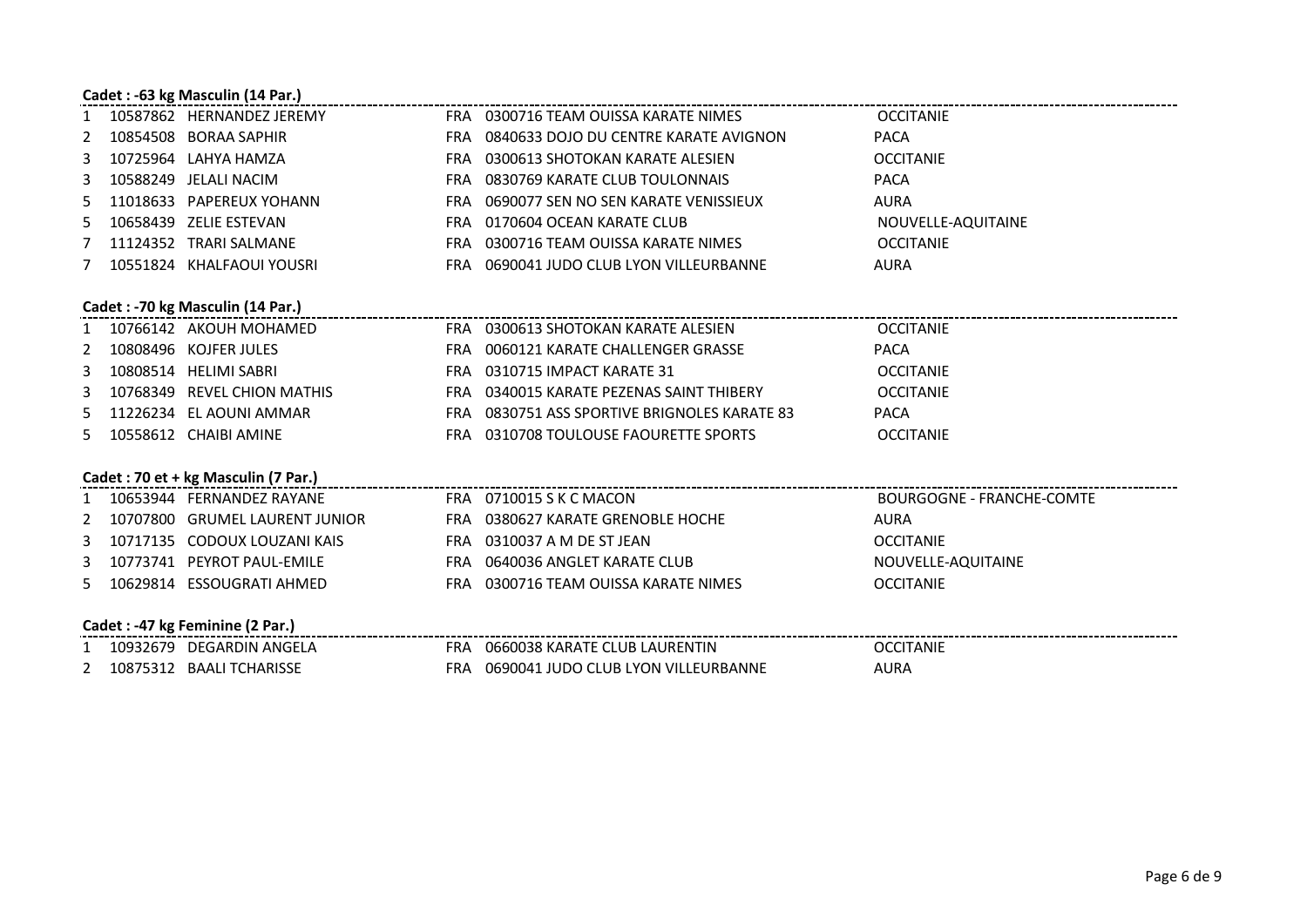## **Cadet : -63 kg Masculin (14 Par.)**

|     | 1 10587862 HERNANDEZ JEREMY                                                | FRA     0300716 TEAM  OUISSA KARATE NIMES                                                                                                                    | <b>Example 2</b> OCCITANIE       |
|-----|----------------------------------------------------------------------------|--------------------------------------------------------------------------------------------------------------------------------------------------------------|----------------------------------|
|     | 2 10854508 BORAA SAPHIR                                                    | FRA  0840633 DOJO DU CENTRE KARATE AVIGNON                                                                                                                   | <b>PACA</b>                      |
| 3   | 10725964 LAHYA HAMZA                                                       | FRA 0300613 SHOTOKAN KARATE ALESIEN                                                                                                                          | <b>OCCITANIE</b>                 |
| 3   | 10588249 JELALI NACIM                                                      | FRA 0830769 KARATE CLUB TOULONNAIS                                                                                                                           | <b>PACA</b>                      |
| 5   | 11018633 PAPEREUX YOHANN                                                   | FRA 0690077 SEN NO SEN KARATE VENISSIEUX                                                                                                                     | <b>AURA</b>                      |
| 5   | 10658439 ZELIE ESTEVAN                                                     | FRA 0170604 OCEAN KARATE CLUB                                                                                                                                | NOUVELLE-AQUITAINE               |
| 7   | 11124352 TRARI SALMANE                                                     | FRA     0300716 TEAM OUISSA KARATE NIMES                                                                                                                     | <b>OCCITANIE</b>                 |
|     | 7 10551824 KHALFAOUI YOUSRI                                                | FRA  0690041 JUDO CLUB LYON VILLEURBANNE                                                                                                                     | <b>AURA</b>                      |
|     |                                                                            |                                                                                                                                                              |                                  |
|     | Cadet : -70 kg Masculin (14 Par.)                                          |                                                                                                                                                              |                                  |
|     | 1 10766142 AKOUH MOHAMED                                                   | FRA 0300613 SHOTOKAN KARATE ALESIEN                                                                                                                          | <b>OCCITANIE</b>                 |
|     | 2 10808496 KOJFER JULES                                                    |                                                                                                                                                              | <b>PACA</b>                      |
|     | 3 10808514 HELIMI SABRI                                                    | FRA 0310715 IMPACT KARATE 31                                                                                                                                 | <b>OCCITANIE</b>                 |
| 3   | 10768349 REVEL CHION MATHIS                                                | FRA     0340015 KARATE PEZENAS SAINT THIBERY                                                                                                                 | OCCITANIE                        |
| .5. | 11226234 EL AOUNI AMMAR                                                    | FRA 0830751 ASS SPORTIVE BRIGNOLES KARATE 83                                                                                                                 | PACA                             |
|     | 5 10558612 CHAIBI AMINE                                                    | FRA 0310708 TOULOUSE FAOURETTE SPORTS                                                                                                                        | <b>OCCITANIE</b>                 |
|     |                                                                            |                                                                                                                                                              |                                  |
|     | Cadet: 70 et + kg Masculin (7 Par.)<br>Cadet: 70 et + kg Masculin (7 Par.) |                                                                                                                                                              |                                  |
|     | 1  10653944 FERNANDEZ RAYANE  FRA  0710015 S K C MACON                     |                                                                                                                                                              | <b>BOURGOGNE - FRANCHE-COMTE</b> |
|     |                                                                            | 2  10707800  GRUMEL LAURENT JUNIOR FRA  0380627 KARATE GRENOBLE HOCHE                                                                                        | <b>AURA</b>                      |
|     | 3 10717135 CODOUX LOUZANI KAIS                                             | FRA 0310037 A M DE ST JEAN                                                                                                                                   | <b>OCCITANIE</b>                 |
|     | 3 10773741 PEYROT PAUL-EMILE                                               | FRA     0640036 ANGLET KARATE CLUB                                                                                                                           | NOUVELLE-AQUITAINE               |
| .5. | 10629814 ESSOUGRATI AHMED                                                  | FRA 0300716 TEAM OUISSA KARATE NIMES                                                                                                                         | <b>OCCITANIE</b>                 |
|     |                                                                            |                                                                                                                                                              |                                  |
|     |                                                                            | $\frac{ \text{Cadet}: -47 \text{ kg} \text{ Fermi} \text{min} (2 \text{ Par.}) }{ \text{Cadet}: -1.5 \text{ kg} \text{ Fermi} \text{min} (2 \text{ Par.}) }$ |                                  |
|     | 1 10932679 DEGARDIN ANGELA                                                 | FRA  0660038 KARATE CLUB LAURENTIN                                                                                                                           | OCCITANIE                        |
|     | 2 10875312 BAALI TCHARISSE                                                 | FRA  0690041 JUDO CLUB LYON VILLEURBANNE                                                                                                                     | <b>AURA</b>                      |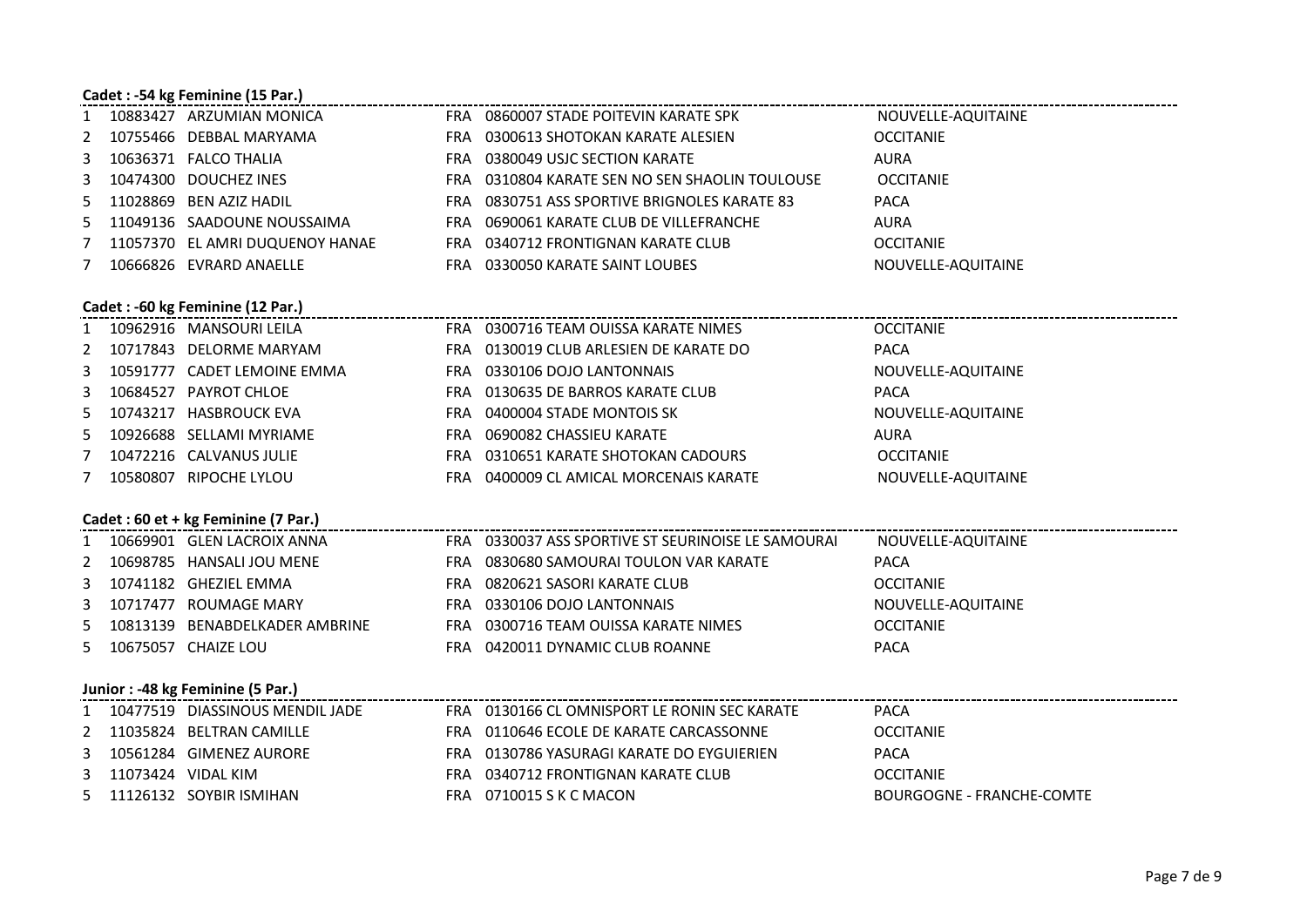## **Cadet : -54 kg Feminine (15 Par.)**

|             |                                   | 10883427 ARZUMIAN MONICA            |  | FRA 0860007 STADE POITEVIN KARATE SPK              | NOUVELLE-AQUITAINE               |  |  |  |  |  |  |
|-------------|-----------------------------------|-------------------------------------|--|----------------------------------------------------|----------------------------------|--|--|--|--|--|--|
|             |                                   | 2 10755466 DEBBAL MARYAMA           |  | FRA 0300613 SHOTOKAN KARATE ALESIEN                | <b>OCCITANIE</b>                 |  |  |  |  |  |  |
| 3           |                                   | 10636371 FALCO THALIA               |  | FRA 0380049 USJC SECTION KARATE                    | <b>AURA</b>                      |  |  |  |  |  |  |
| 3           |                                   | 10474300 DOUCHEZ INES               |  | FRA 0310804 KARATE SEN NO SEN SHAOLIN TOULOUSE     | <b>OCCITANIE</b>                 |  |  |  |  |  |  |
| 5           |                                   | 11028869 BEN AZIZ HADIL             |  | FRA 0830751 ASS SPORTIVE BRIGNOLES KARATE 83       | <b>PACA</b>                      |  |  |  |  |  |  |
| 5           |                                   | 11049136 SAADOUNE NOUSSAIMA         |  | FRA 0690061 KARATE CLUB DE VILLEFRANCHE            | <b>AURA</b>                      |  |  |  |  |  |  |
| 7           |                                   | 11057370 EL AMRI DUQUENOY HANAE     |  | FRA 0340712 FRONTIGNAN KARATE CLUB                 | <b>OCCITANIE</b>                 |  |  |  |  |  |  |
| $7^{\circ}$ |                                   | 10666826 EVRARD ANAELLE             |  | FRA 0330050 KARATE SAINT LOUBES                    | NOUVELLE-AQUITAINE               |  |  |  |  |  |  |
|             |                                   |                                     |  |                                                    |                                  |  |  |  |  |  |  |
|             | Cadet : -60 kg Feminine (12 Par.) |                                     |  |                                                    |                                  |  |  |  |  |  |  |
|             |                                   | 1 10962916 MANSOURI LEILA           |  | FRA 0300716 TEAM OUISSA KARATE NIMES               | <b>OCCITANIE</b>                 |  |  |  |  |  |  |
|             |                                   | 2 10717843 DELORME MARYAM           |  | FRA 0130019 CLUB ARLESIEN DE KARATE DO             | <b>PACA</b>                      |  |  |  |  |  |  |
| 3           |                                   | 10591777 CADET LEMOINE EMMA         |  | FRA 0330106 DOJO LANTONNAIS                        | NOUVELLE-AQUITAINE               |  |  |  |  |  |  |
| 3           |                                   | 10684527 PAYROT CHLOE               |  | FRA 0130635 DE BARROS KARATE CLUB                  | <b>PACA</b>                      |  |  |  |  |  |  |
| 5           |                                   | 10743217 HASBROUCK EVA              |  | FRA 0400004 STADE MONTOIS SK                       | NOUVELLE-AQUITAINE               |  |  |  |  |  |  |
| 5           |                                   | 10926688 SELLAMI MYRIAME            |  | FRA 0690082 CHASSIEU KARATE                        | <b>AURA</b>                      |  |  |  |  |  |  |
| 7           |                                   | 10472216 CALVANUS JULIE             |  | FRA 0310651 KARATE SHOTOKAN CADOURS                | <b>OCCITANIE</b>                 |  |  |  |  |  |  |
|             |                                   | 7 10580807 RIPOCHE LYLOU            |  | FRA 0400009 CL AMICAL MORCENAIS KARATE             | NOUVELLE-AQUITAINE               |  |  |  |  |  |  |
|             |                                   |                                     |  |                                                    |                                  |  |  |  |  |  |  |
|             |                                   | Cadet: 60 et + kg Feminine (7 Par.) |  |                                                    |                                  |  |  |  |  |  |  |
|             |                                   | 1 10669901 GLEN LACROIX ANNA        |  | FRA 0330037 ASS SPORTIVE ST SEURINOISE LE SAMOURAI | NOUVELLE-AQUITAINE               |  |  |  |  |  |  |
|             |                                   | 2 10698785 HANSALI JOU MENE         |  | FRA 0830680 SAMOURAI TOULON VAR KARATE             | <b>PACA</b>                      |  |  |  |  |  |  |
| 3           |                                   | 10741182 GHEZIEL EMMA               |  | FRA 0820621 SASORI KARATE CLUB                     | <b>OCCITANIE</b>                 |  |  |  |  |  |  |
| 3           |                                   | 10717477 ROUMAGE MARY               |  | FRA 0330106 DOJO LANTONNAIS                        | NOUVELLE-AQUITAINE               |  |  |  |  |  |  |
| 5           |                                   | 10813139 BENABDELKADER AMBRINE      |  | FRA 0300716 TEAM OUISSA KARATE NIMES               | <b>OCCITANIE</b>                 |  |  |  |  |  |  |
|             |                                   | 5 10675057 CHAIZE LOU               |  | FRA 0420011 DYNAMIC CLUB ROANNE                    | <b>PACA</b>                      |  |  |  |  |  |  |
|             |                                   |                                     |  |                                                    |                                  |  |  |  |  |  |  |
|             |                                   | Junior: -48 kg Feminine (5 Par.)    |  |                                                    |                                  |  |  |  |  |  |  |
|             |                                   | 1 10477519 DIASSINOUS MENDIL JADE   |  |                                                    | <b>PACA</b>                      |  |  |  |  |  |  |
|             |                                   | 2 11035824 BELTRAN CAMILLE          |  | FRA 0110646 ECOLE DE KARATE CARCASSONNE            | <b>OCCITANIE</b>                 |  |  |  |  |  |  |
|             |                                   | 3 10561284 GIMENEZ AURORE           |  | FRA 0130786 YASURAGI KARATE DO EYGUIERIEN          | PACA                             |  |  |  |  |  |  |
| 3           | 11073424 VIDAL KIM                |                                     |  | FRA 0340712 FRONTIGNAN KARATE CLUB                 | <b>OCCITANIE</b>                 |  |  |  |  |  |  |
|             |                                   | 5 11126132 SOYBIR ISMIHAN           |  | FRA 0710015 S K C MACON                            | <b>BOURGOGNE - FRANCHE-COMTE</b> |  |  |  |  |  |  |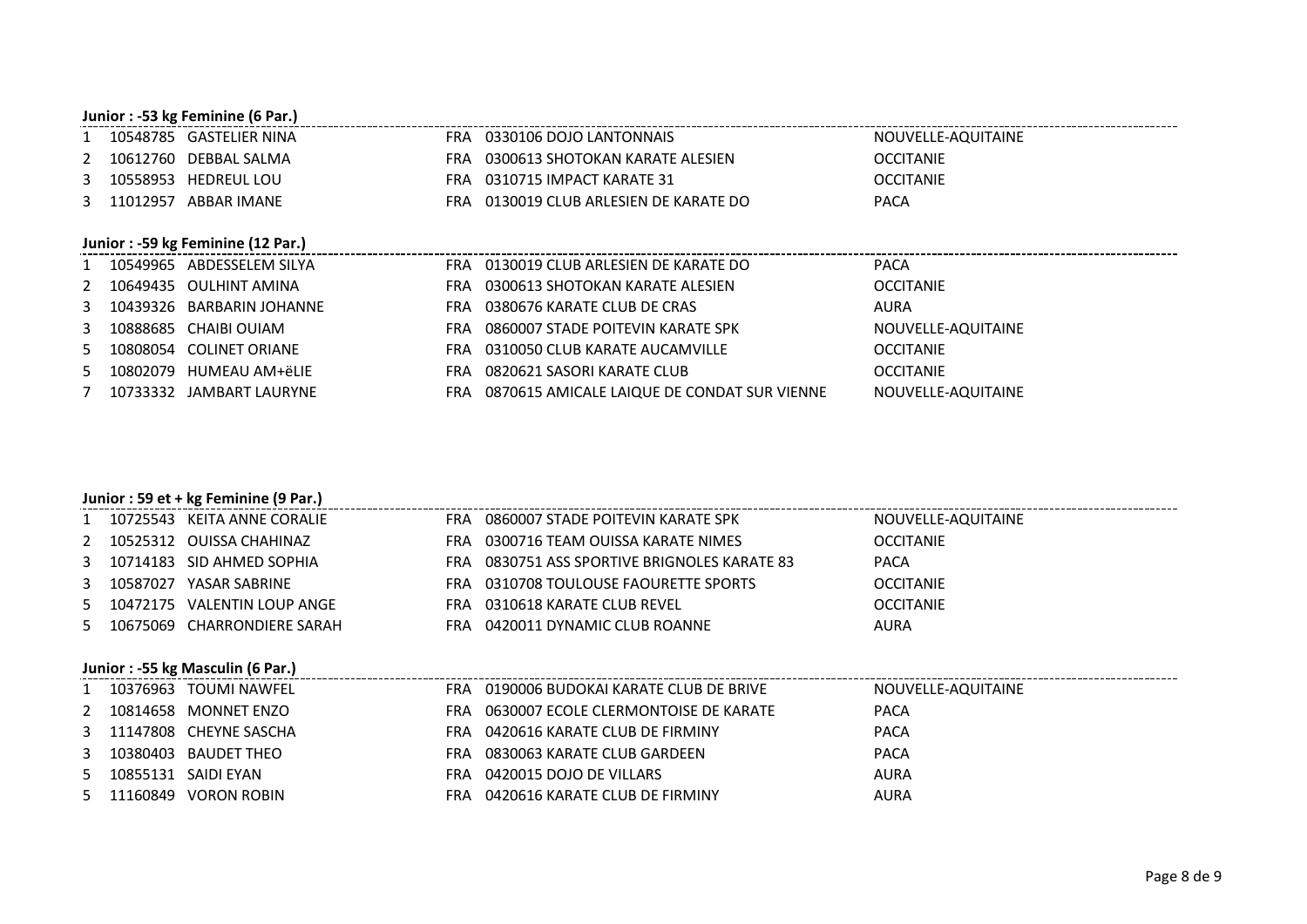### **Junior : -53 kg Feminine (6 Par.)**

|   |            | 1 10548785 GASTELIER NINA         |     | FRA 0330106 DOJO LANTONNAIS                 | NOUVELLE-AQUITAINE |
|---|------------|-----------------------------------|-----|---------------------------------------------|--------------------|
|   |            | 2 10612760 DEBBAL SALMA           | FRA | 0300613 SHOTOKAN KARATE ALESIEN             | <b>OCCITANIE</b>   |
|   |            | 3 10558953 HEDREUL LOU            |     | FRA 0310715 IMPACT KARATE 31                | <b>OCCITANIE</b>   |
|   | 3 11012957 | ABBAR IMANE                       |     | FRA 0130019 CLUB ARLESIEN DE KARATE DO      | <b>PACA</b>        |
|   |            |                                   |     |                                             |                    |
|   |            | Junior: -59 kg Feminine (12 Par.) |     |                                             |                    |
|   |            | 1 10549965 ABDESSELEM SILYA       |     | FRA 0130019 CLUB ARLESIEN DE KARATE DO      | PACA               |
|   |            | 2 10649435 OULHINT AMINA          | FRA | 0300613 SHOTOKAN KARATE ALESIEN             | <b>OCCITANIE</b>   |
|   |            | 3 10439326 BARBARIN JOHANNE       | FRA | 0380676 KARATE CLUB DE CRAS                 | AURA               |
|   |            | 3 10888685 CHAIBI OUIAM           | FRA | 0860007 STADE POITEVIN KARATE SPK           | NOUVELLE-AQUITAINE |
| 5 |            | 10808054 COLINET ORIANE           | FRA | 0310050 CLUB KARATE AUCAMVILLE              | <b>OCCITANIE</b>   |
|   |            | $5\quad 10802079$ HUMEAU AM+ëLIE  | FRA | 0820621 SASORI KARATE CLUB                  | <b>OCCITANIE</b>   |
| 7 |            | 10733332 JAMBART LAURYNE          | FRA | 0870615 AMICALE LAIQUE DE CONDAT SUR VIENNE | NOUVELLE-AQUITAINE |

### **Junior : 59 et + kg Feminine (9 Par.)**

|  | 1 10725543 KEITA ANNE CORALIE    | FRA 0860007 STADE POITEVIN KARATE SPK        | NOUVELLE-AQUITAINE |
|--|----------------------------------|----------------------------------------------|--------------------|
|  | 2 10525312 OUISSA CHAHINAZ       | FRA 0300716 TEAM OUISSA KARATE NIMES         | <b>OCCITANIE</b>   |
|  | 3 10714183 SID AHMED SOPHIA      | FRA 0830751 ASS SPORTIVE BRIGNOLES KARATE 83 | <b>PACA</b>        |
|  | 3 10587027 YASAR SABRINE         | FRA 0310708 TOULOUSE FAOURETTE SPORTS        | <b>OCCITANIE</b>   |
|  | 5 10472175 VALENTIN LOUP ANGE    | FRA 0310618 KARATE CLUB REVEL                | <b>OCCITANIE</b>   |
|  | 5 10675069 CHARRONDIERE SARAH    | FRA 0420011 DYNAMIC CLUB ROANNE              | <b>AURA</b>        |
|  |                                  |                                              |                    |
|  | Junior: -55 kg Masculin (6 Par.) |                                              |                    |
|  | 1 10376963 TOUMI NAWFEL          | FRA 0190006 BUDOKAI KARATE CLUB DE BRIVE     | NOUVELLE-AQUITAINE |
|  | 2 10814658 MONNET ENZO           | FRA 0630007 ECOLE CLERMONTOISE DE KARATE     | <b>PACA</b>        |
|  | 3 11147808 CHEYNE SASCHA         | FRA 0420616 KARATE CLUB DE FIRMINY           | <b>PACA</b>        |
|  | 3 10380403 BAUDET THEO           | FRA 0830063 KARATE CLUB GARDEEN              | <b>PACA</b>        |
|  | 5 10855131 SAIDI EYAN            | FRA 0420015 DOJO DE VILLARS                  | <b>AURA</b>        |
|  | 5 11160849 VORON ROBIN           | FRA 0420616 KARATE CLUB DE FIRMINY           | <b>AURA</b>        |